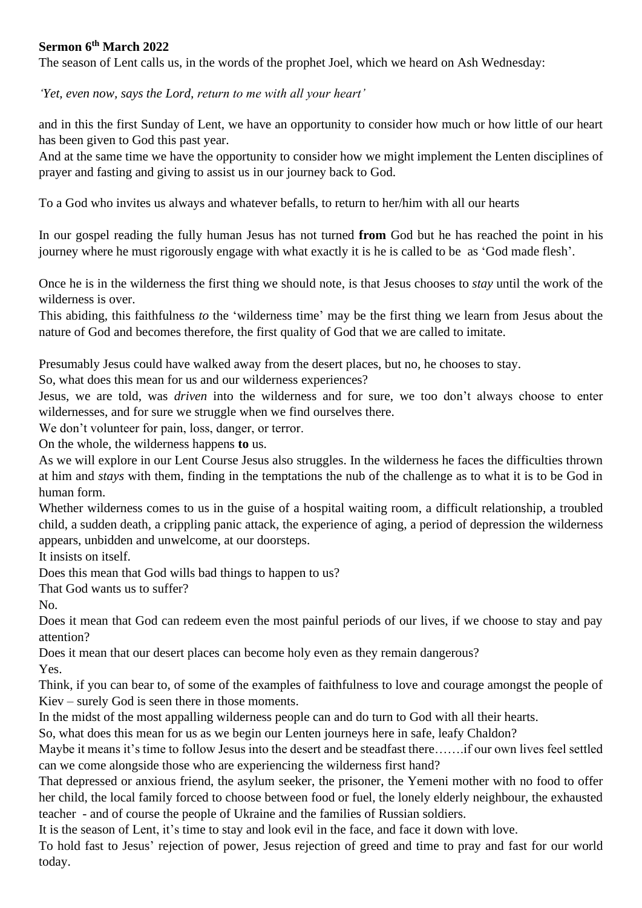## **Sermon 6th March 2022**

The season of Lent calls us, in the words of the prophet Joel, which we heard on Ash Wednesday:

*'Yet, even now, says the Lord, return to me with all your heart'* 

and in this the first Sunday of Lent, we have an opportunity to consider how much or how little of our heart has been given to God this past year.

And at the same time we have the opportunity to consider how we might implement the Lenten disciplines of prayer and fasting and giving to assist us in our journey back to God.

To a God who invites us always and whatever befalls, to return to her/him with all our hearts

In our gospel reading the fully human Jesus has not turned **from** God but he has reached the point in his journey where he must rigorously engage with what exactly it is he is called to be as 'God made flesh'.

Once he is in the wilderness the first thing we should note, is that Jesus chooses to *stay* until the work of the wilderness is over.

This abiding, this faithfulness *to* the 'wilderness time' may be the first thing we learn from Jesus about the nature of God and becomes therefore, the first quality of God that we are called to imitate.

Presumably Jesus could have walked away from the desert places, but no, he chooses to stay.

So, what does this mean for us and our wilderness experiences?

Jesus, we are told, was *driven* into the wilderness and for sure, we too don't always choose to enter wildernesses, and for sure we struggle when we find ourselves there.

We don't volunteer for pain, loss, danger, or terror.

On the whole, the wilderness happens **to** us.

As we will explore in our Lent Course Jesus also struggles. In the wilderness he faces the difficulties thrown at him and *stays* with them, finding in the temptations the nub of the challenge as to what it is to be God in human form.

Whether wilderness comes to us in the guise of a hospital waiting room, a difficult relationship, a troubled child, a sudden death, a crippling panic attack, the experience of aging, a period of depression the wilderness appears, unbidden and unwelcome, at our doorsteps.

It insists on itself.

Does this mean that God wills bad things to happen to us?

That God wants us to suffer?

No.

Does it mean that God can redeem even the most painful periods of our lives, if we choose to stay and pay attention?

Does it mean that our desert places can become holy even as they remain dangerous? Yes.

Think, if you can bear to, of some of the examples of faithfulness to love and courage amongst the people of Kiev – surely God is seen there in those moments.

In the midst of the most appalling wilderness people can and do turn to God with all their hearts.

So, what does this mean for us as we begin our Lenten journeys here in safe, leafy Chaldon?

Maybe it means it's time to follow Jesus into the desert and be steadfast there…….if our own lives feel settled can we come alongside those who are experiencing the wilderness first hand?

That depressed or anxious friend, the asylum seeker, the prisoner, the Yemeni mother with no food to offer her child, the local family forced to choose between food or fuel, the lonely elderly neighbour, the exhausted teacher - and of course the people of Ukraine and the families of Russian soldiers.

It is the season of Lent, it's time to stay and look evil in the face, and face it down with love.

To hold fast to Jesus' rejection of power, Jesus rejection of greed and time to pray and fast for our world today.